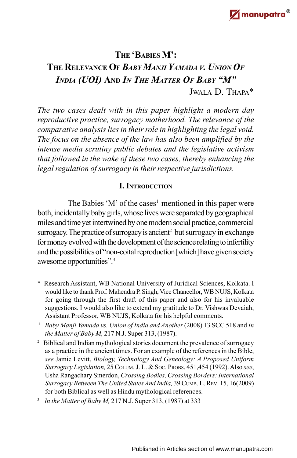# **THE 'BABIES M': THE RELEVANCE O<sup>F</sup>** *BABY MANJI YAMADA <sup>V</sup>. UNION O<sup>F</sup> INDIA (UOI)* **AND** *IN THE MATTER OF BABY "M"*

JWALA D. THAPA\*

*The two cases dealt with in this paper highlight a modern day reproductive practice, surrogacy motherhood. The relevance of the comparative analysis lies in their role in highlighting the legal void. The focus on the absence of the law has also been amplified by the intense media scrutiny public debates and the legislative activism that followed in the wake of these two cases, thereby enhancing the legal regulation of surrogacy in their respective jurisdictions.*

# **I. INTRODUCTION**

The Babies 'M' of the cases<sup>1</sup> mentioned in this paper were both, incidentally baby girls, whose lives were separated by geographical miles and time yet intertwined by one modern social practice, commercial surrogacy. The practice of surrogacy is ancient<sup>2</sup> but surrogacy in exchange for money evolved with the development of the science relating to infertility and the possibilities of "non-coital reproduction [which] have given society awesome opportunities".<sup>3</sup>

<sup>\*</sup> Research Assistant, WB National University of Juridical Sciences, Kolkata. I would like to thank Prof. Mahendra P. Singh, Vice Chancellor, WB NUJS, Kolkata for going through the first draft of this paper and also for his invaluable suggestions. I would also like to extend my gratitude to Dr. Vishwas Devaiah, Assistant Professor, WB NUJS, Kolkata for his helpful comments.

<sup>&</sup>lt;sup>1</sup> Baby Manji Yamada vs. Union of India and Another (2008) 13 SCC 518 and In *the Matter of Baby M,* 217 N.J. Super 313, (1987).

<sup>&</sup>lt;sup>2</sup> Biblical and Indian mythological stories document the prevalence of surrogacy as a practice in the ancient times. For an example of the references in the Bible, *see* Jamie Levitt, *Biology, Technology And Geneology: A Proposed Uniform Surrogacy Legislation,* 25 COLUM. J. L. & SOC. PROBS. 451,454 (1992). Also *see*, Usha Rangachary Smerdon, *Crossing Bodies, Crossing Borders: International Surrogacy Between The United States And India,* 39 CUMB. L. REV. 15, 16(2009) for both Biblical as well as Hindu mythological references.

<sup>3</sup> *In the Matter of Baby M,* 217 N.J. Super 313, (1987) at 333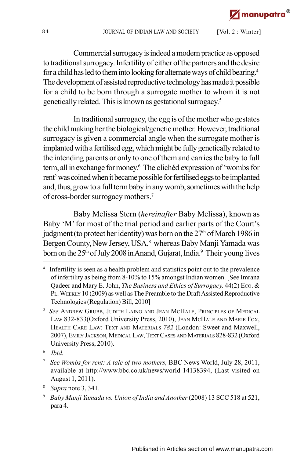Commercial surrogacy is indeed a modern practice as opposed to traditional surrogacy. Infertility of either of the partners and the desire for a child has led to them into looking for alternate ways of child bearing.<sup>4</sup> The development of assisted reproductive technology has made it possible for a child to be born through a surrogate mother to whom it is not genetically related. This is known as gestational surrogacy. 5

In traditional surrogacy, the egg is of the mother who gestates the child making her the biological/genetic mother. However, traditional surrogacy is given a commercial angle when the surrogate mother is implanted with a fertilised egg, which might be fully genetically related to the intending parents or only to one of them and carries the baby to full term, all in exchange for money. <sup>6</sup> The clichéd expression of 'wombs for rent' was coined when it became possible for fertilised eggs to be implanted and, thus, grow to a full term baby in any womb, sometimes with the help of cross-border surrogacy mothers.<sup>7</sup>

Baby Melissa Stern (*hereinafter* Baby Melissa), known as Baby 'M' for most of the trial period and earlier parts of the Court's judgment (to protect her identity) was born on the  $27<sup>th</sup>$  of March 1986 in Bergen County, New Jersey, USA,<sup>8</sup> whereas Baby Manji Yamada was born on the  $25<sup>th</sup>$  of July 2008 in Anand, Gujarat, India.<sup>9</sup> Their young lives

<sup>4</sup> Infertility is seen as a health problem and statistics point out to the prevalence of infertility as being from 8-10% to 15% amongst Indian women. [See Imrana Qadeer and Mary E. John, *The Business and Ethics of Surrogacy,* 44(2) ECO. & PL. WEEKLY 10 (2009) as well as The Preamble to the Draft Assisted Reproductive Technologies (Regulation) Bill, 2010]

<sup>5</sup> *See* ANDREW GRUBB, JUDITH LAING AND JEAN MCHALE, PRINCIPLES OF MEDICAL LAW 832-833(Oxford University Press, 2010), JEAN MCHALE AND MARIE FOX, HEALTH CARE LAW: TEXT AND MATERIALS *782* (London: Sweet and Maxwell, 2007), EMILY JACKSON, MEDICAL LAW, TEXT CASES AND MATERIALS 828-832 (Oxford University Press, 2010).

<sup>6</sup> *Ibid.*

<sup>7</sup> *See Wombs for rent: A tale of two mothers,* BBC News World, July 28, 2011, available at http://www.bbc.co.uk/news/world-14138394, (Last visited on August 1, 2011).

<sup>8</sup> *Supra* note 3, 341.

<sup>9</sup> *Baby Manji Yamada vs. Union of India and Another* (2008) 13 SCC 518 at 521, para 4.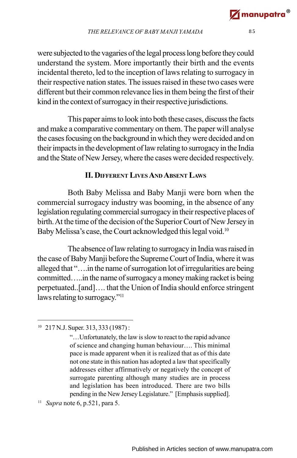were subjected to the vagaries of the legal process long before they could understand the system. More importantly their birth and the events incidental thereto, led to the inception of laws relating to surrogacy in their respective nation states. The issues raised in these two cases were different but their common relevance lies in them being the first of their kind in the context of surrogacy in their respective jurisdictions.

This paper aims to look into both these cases, discuss the facts and make a comparative commentary on them. The paper will analyse the cases focusing on the background in which they were decided and on their impacts in the development of law relating to surrogacy in the India and the State of New Jersey, where the cases were decided respectively.

## **II. DIFFERENT LIVES AND ABSENT LAWS**

Both Baby Melissa and Baby Manji were born when the commercial surrogacy industry was booming, in the absence of any legislation regulating commercial surrogacy in their respective places of birth. At the time of the decision of the Superior Court of New Jersey in Baby Melissa's case, the Court acknowledged this legal void.<sup>10</sup>

The absence of law relating to surrogacy in India was raised in the case of Baby Manji before the Supreme Court of India, where it was alleged that "….in the name of surrogation lot of irregularities are being committed…..in the name of surrogacy a money making racket is being perpetuated..[and]…. that the Union of India should enforce stringent laws relating to surrogacy."<sup>11</sup>

<sup>10</sup> 217 N.J. Super. 313, 333 (1987):

<sup>&</sup>quot;…Unfortunately, the law is slow to react to the rapid advance of science and changing human behaviour…. This minimal pace is made apparent when it is realized that as of this date not one state in this nation has adopted a law that specifically addresses either affirmatively or negatively the concept of surrogate parenting although many studies are in process and legislation has been introduced. There are two bills pending in the New Jersey Legislature." [Emphasis supplied].

<sup>11</sup> *Supra* note 6, p.521, para 5.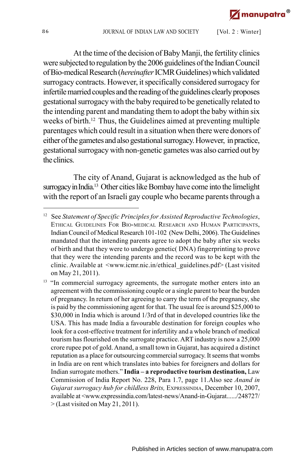At the time of the decision of Baby Manji, the fertility clinics were subjected to regulation by the 2006 guidelines of the Indian Council of Bio-medical Research (*hereinafter* ICMR Guidelines) which validated surrogacy contracts. However, it specifically considered surrogacy for infertile married couples and the reading of the guidelines clearly proposes gestational surrogacy with the baby required to be genetically related to the intending parent and mandating them to adopt the baby within six weeks of birth.<sup>12</sup> Thus, the Guidelines aimed at preventing multiple parentages which could result in a situation when there were donors of either of the gametes and also gestational surrogacy. However, in practice, gestational surrogacy with non-genetic gametes was also carried out by the clinics.

The city of Anand, Gujarat is acknowledged as the hub of surrogacy in India.<sup>13</sup> Other cities like Bombay have come into the limelight with the report of an Israeli gay couple who became parents through a

<sup>12</sup> See *Statement of Specific Principles for Assisted Reproductive Technologies*, ETHICAL GUIDELINES FOR BIO-MEDICAL RESEARCH AND HUMAN PARTICIPANTS, Indian Council of Medical Research 101-102 (New Delhi, 2006). The Guidelines mandated that the intending parents agree to adopt the baby after six weeks of birth and that they were to undergo genetic( DNA) fingerprinting to prove that they were the intending parents and the record was to be kept with the clinic. Available at <www.icmr.nic.in/ethical\_guidelines.pdf> (Last visited on May 21, 2011).

<sup>&</sup>lt;sup>13</sup> "In commercial surrogacy agreements, the surrogate mother enters into an agreement with the commissioning couple or a single parent to bear the burden of pregnancy. In return of her agreeing to carry the term of the pregnancy, she is paid by the commissioning agent for that. The usual fee is around \$25,000 to \$30,000 in India which is around 1/3rd of that in developed countries like the USA. This has made India a favourable destination for foreign couples who look for a cost-effective treatment for infertility and a whole branch of medical tourism has flourished on the surrogate practice. ART industry is now a 25,000 crore rupee pot of gold. Anand, a small town in Gujarat, has acquired a distinct reputation as a place for outsourcing commercial surrogacy. It seems that wombs in India are on rent which translates into babies for foreigners and dollars for Indian surrogate mothers." **India – a reproductive tourism destination,** Law Commission of India Report No. 228, Para 1.7, page 11.Also see *Anand in Gujarat surrogacy hub for childless Brits,* EXPRESSINDIA, December 10, 2007, available at <www.expressindia.com/latest-news/Anand-in-Gujarat....../248727/ > (Last visited on May 21, 2011).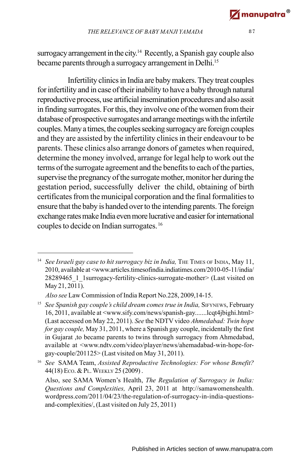surrogacy arrangement in the city. <sup>14</sup> Recently, a Spanish gay couple also became parents through a surrogacy arrangement in Delhi.<sup>15</sup>

Infertility clinics in India are baby makers. They treat couples for infertility and in case of their inability to have a baby through natural reproductive process, use artificial insemination procedures and also assit in finding surrogates. For this, they involve one of the women from their database of prospective surrogates and arrange meetings with the infertile couples. Many a times, the couples seeking surrogacy are foreign couples and they are assisted by the infertility clinics in their endeavour to be parents. These clinics also arrange donors of gametes when required, determine the money involved, arrange for legal help to work out the terms of the surrogate agreement and the benefits to each of the parties, supervise the pregnancy of the surrogate mother, monitor her during the gestation period, successfully deliver the child, obtaining of birth certificates from the municipal corporation and the final formalities to ensure that the baby is handed over to the intending parents. The foreign exchange rates make India even more lucrative and easier for international couples to decide on Indian surrogates.<sup>16</sup>

<sup>&</sup>lt;sup>14</sup> *See Israeli gay case to hit surrogacy biz in India*, THE TIMES OF INDIA, May 11, 2010, available at <www.articles.timesofindia.indiatimes.com/2010-05-11/india/ 28289465\_1\_1surrogacy-fertility-clinics-surrogate-mother> (Last visited on May 21, 2011).

*Also see* Law Commission of India Report No.228, 2009,14-15.

<sup>&</sup>lt;sup>15</sup> See Spanish gay couple's child dream comes true in India, SIFYNEWS, February 16, 2011, available at <www.sify.com/news/spanish-gay.......lcqt4jbighi.html> (Last accessed on May 22, 2011). *See* the NDTV video *Ahmedabad: Twin hope for gay couple,* May 31, 2011, where a Spanish gay couple, incidentally the first in Gujarat ,to became parents to twins through surrogacy from Ahmedabad, available at <www.ndtv.com/video/player/news/ahemadabad-win-hope-forgay-couple/201125> (Last visited on May 31, 2011).

<sup>16</sup> *See* SAMA Team, *Assisted Reproductive Technologies: For whose Benefit?* 44(18) ECO. & PL. WEEKLY 25 (2009) .

Also, see SAMA Women's Health, *The Regulation of Surrogacy in India: Questions and Complexities,* April 23, 2011 at http://samawomenshealth. wordpress.com/2011/04/23/the-regulation-of-surrogacy-in-india-questionsand-complexities/, (Last visited on July 25, 2011)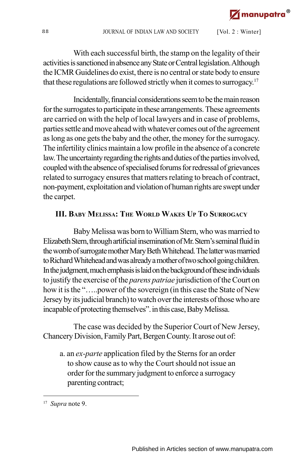With each successful birth, the stamp on the legality of their activities is sanctioned in absence any State or Central legislation. Although the ICMR Guidelines do exist, there is no central or state body to ensure that these regulations are followed strictly when it comes to surrogacy. 17

Incidentally, financial considerations seem to be the main reason for the surrogates to participate in these arrangements. These agreements are carried on with the help of local lawyers and in case of problems, parties settle and move ahead with whatever comes out of the agreement as long as one gets the baby and the other, the money for the surrogacy. The infertility clinics maintain a low profile in the absence of a concrete law. The uncertainty regarding the rights and duties of the parties involved, coupled with the absence of specialised forums for redressal of grievances related to surrogacy ensures that matters relating to breach of contract, non-payment, exploitation and violation of human rights are swept under the carpet.

# **III. BABY MELISSA: THE WORLD WAKES UP TO SURROGACY**

Baby Melissa was born to William Stern, who was married to Elizabeth Stern, through artificial insemination of Mr. Stern's seminal fluid in the womb of surrogate mother Mary Beth Whitehead. The latter was married to Richard Whitehead and was already a mother of two school going children. In the judgment, much emphasis is laid on the background of these individuals to justify the exercise of the *parens patriae* jurisdiction of the Court on how it is the "…..power of the sovereign (in this case the State of New Jersey by its judicial branch) to watch over the interests of those who are incapable of protecting themselves". in this case, Baby Melissa.

The case was decided by the Superior Court of New Jersey, Chancery Division, Family Part, Bergen County. It arose out of:

a. an *ex-parte* application filed by the Sterns for an order to show cause as to why the Court should not issue an order for the summary judgment to enforce a surrogacy parenting contract;

<sup>17</sup> *Supra* note 9.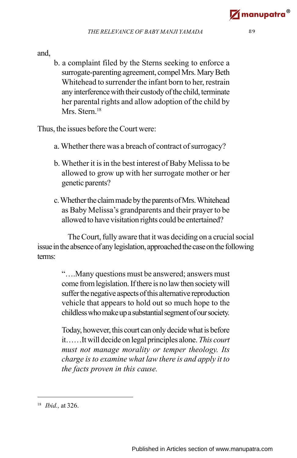and,

b. a complaint filed by the Sterns seeking to enforce a surrogate-parenting agreement, compel Mrs. Mary Beth Whitehead to surrender the infant born to her, restrain any interference with their custody of the child, terminate her parental rights and allow adoption of the child by Mrs. Stern.<sup>18</sup>

Thus, the issues before the Court were:

- a. Whether there was a breach of contract of surrogacy?
- b. Whether it is in the best interest of Baby Melissa to be allowed to grow up with her surrogate mother or her genetic parents?
- c. Whether the claim made by the parents of Mrs. Whitehead as Baby Melissa's grandparents and their prayer to be allowed to have visitation rights could be entertained?

The Court, fully aware that it was deciding on a crucial social issue in the absence of any legislation, approached the case on the following terms:

> "….Many questions must be answered; answers must come from legislation. If there is no law then society will suffer the negative aspects of this alternative reproduction vehicle that appears to hold out so much hope to the childless who make up a substantial segment of our society.

> Today, however, this court can only decide what is before it……It will decide on legal principles alone. *This court must not manage morality or temper theology. Its charge is to examine what law there is and apply it to the facts proven in this cause.*

<sup>18</sup> *Ibid.,* at 326.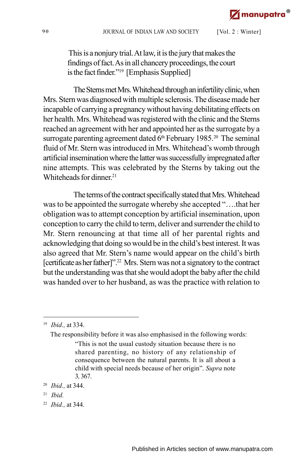This is a nonjury trial. At law, it is the jury that makes the findings of fact. As in all chancery proceedings, the court is the fact finder."<sup>19</sup> [Emphasis Supplied]

The Sterns met Mrs. Whitehead through an infertility clinic, when Mrs. Stern was diagnosed with multiple sclerosis. The disease made her incapable of carrying a pregnancy without having debilitating effects on her health. Mrs. Whitehead was registered with the clinic and the Sterns reached an agreement with her and appointed her as the surrogate by a surrogate parenting agreement dated  $6<sup>th</sup>$  February 1985.<sup>20</sup> The seminal fluid of Mr. Stern was introduced in Mrs. Whitehead's womb through artificial insemination where the latter was successfully impregnated after nine attempts. This was celebrated by the Sterns by taking out the Whiteheads for dinner. 21

The terms of the contract specifically stated that Mrs. Whitehead was to be appointed the surrogate whereby she accepted "….that her obligation was to attempt conception by artificial insemination, upon conception to carry the child to term, deliver and surrender the child to Mr. Stern renouncing at that time all of her parental rights and acknowledging that doing so would be in the child's best interest. It was also agreed that Mr. Stern's name would appear on the child's birth [certificate as her father]".<sup>22</sup> Mrs. Stern was not a signatory to the contract but the understanding was that she would adopt the baby after the child was handed over to her husband, as was the practice with relation to

- 21 *Ibid.*
- 22 *Ibid.,* at 344.

<sup>19</sup> *Ibid.,* at 334.

The responsibility before it was also emphasised in the following words:

<sup>&</sup>quot;This is not the usual custody situation because there is no shared parenting, no history of any relationship of consequence between the natural parents. It is all about a child with special needs because of her origin". *Supra* note 3*,* 367.

<sup>20</sup> *Ibid.,* at 344.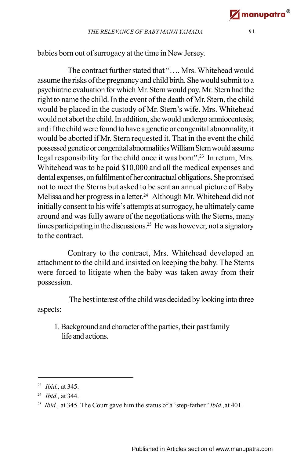babies born out of surrogacy at the time in New Jersey.

The contract further stated that " Mrs. Whitehead would assume the risks of the pregnancy and child birth. She would submit to a psychiatric evaluation for which Mr. Stern would pay. Mr. Stern had the right to name the child. In the event of the death of Mr. Stern, the child would be placed in the custody of Mr. Stern's wife. Mrs. Whitehead would not abort the child. In addition, she would undergo amniocentesis; and if the child were found to have a genetic or congenital abnormality, it would be aborted if Mr. Stern requested it. That in the event the child possessed genetic or congenital abnormalities William Stern would assume legal responsibility for the child once it was born"<sup>23</sup> In return, Mrs. Whitehead was to be paid \$10,000 and all the medical expenses and dental expenses, on fulfilment of her contractual obligations. She promised not to meet the Sterns but asked to be sent an annual picture of Baby Melissa and her progress in a letter. 24 Although Mr. Whitehead did not initially consent to his wife's attempts at surrogacy, he ultimately came around and was fully aware of the negotiations with the Sterns, many times participating in the discussions.<sup>25</sup> He was however, not a signatory to the contract.

Contrary to the contract, Mrs. Whitehead developed an attachment to the child and insisted on keeping the baby. The Sterns were forced to litigate when the baby was taken away from their possession.

 The best interest of the child was decided by looking into three aspects:

1. Background and character of the parties, their past family life and actions.

<sup>23</sup> *Ibid.,* at 345.

<sup>24</sup> *Ibid.,* at 344.

<sup>25</sup> *Ibid.,* at 345. The Court gave him the status of a 'step-father.'*Ibid.,*at 401.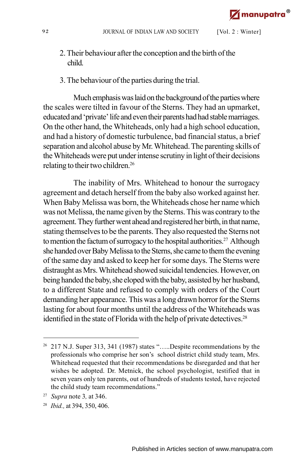- 2. Their behaviour after the conception and the birth of the child.
- 3. The behaviour of the parties during the trial.

Much emphasis was laid on the background of the parties where the scales were tilted in favour of the Sterns. They had an upmarket, educated and 'private' life and even their parents had had stable marriages. On the other hand, the Whiteheads, only had a high school education, and had a history of domestic turbulence, bad financial status, a brief separation and alcohol abuse by Mr. Whitehead. The parenting skills of the Whiteheads were put under intense scrutiny in light of their decisions relating to their two children.<sup>26</sup>

The inability of Mrs. Whitehead to honour the surrogacy agreement and detach herself from the baby also worked against her. When Baby Melissa was born, the Whiteheads chose her name which was not Melissa, the name given by the Sterns. This was contrary to the agreement. They further went ahead and registered her birth, in that name, stating themselves to be the parents. They also requested the Sterns not to mention the factum of surrogacy to the hospital authorities.<sup>27</sup> Although she handed over Baby Melissa to the Sterns, she came to them the evening of the same day and asked to keep her for some days. The Sterns were distraught as Mrs. Whitehead showed suicidal tendencies. However, on being handed the baby, she eloped with the baby, assisted by her husband, to a different State and refused to comply with orders of the Court demanding her appearance. This was a long drawn horror for the Sterns lasting for about four months until the address of the Whiteheads was identified in the state of Florida with the help of private detectives.<sup>28</sup>

<sup>&</sup>lt;sup>26</sup> 217 N.J. Super 313, 341 (1987) states ".....Despite recommendations by the professionals who comprise her son's school district child study team, Mrs. Whitehead requested that their recommendations be disregarded and that her wishes be adopted. Dr. Metnick, the school psychologist, testified that in seven years only ten parents, out of hundreds of students tested, have rejected the child study team recommendations."

<sup>27</sup> *Supra* note 3*,* at 346.

<sup>28</sup> *Ibid.,* at 394, 350, 406.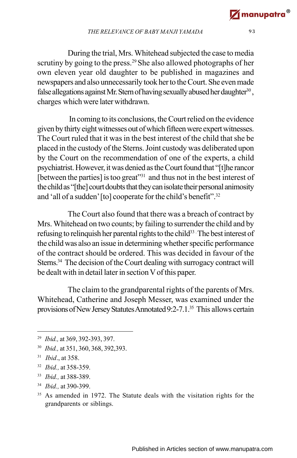During the trial, Mrs. Whitehead subjected the case to media scrutiny by going to the press.<sup>29</sup> She also allowed photographs of her own eleven year old daughter to be published in magazines and newspapers and also unnecessarily took her to the Court. She even made false allegations against Mr. Stern of having sexually abused her daughter<sup>30</sup>, charges which were later withdrawn.

 In coming to its conclusions, the Court relied on the evidence given by thirty eight witnesses out of which fifteen were expert witnesses. The Court ruled that it was in the best interest of the child that she be placed in the custody of the Sterns. Joint custody was deliberated upon by the Court on the recommendation of one of the experts, a child psychiatrist. However, it was denied as the Court found that "[t]he rancor [between the parties] is too great"<sup>31</sup> and thus not in the best interest of the child as "[the] court doubts that they can isolate their personal animosity and 'all of a sudden' [to] cooperate for the child's benefit".<sup>32</sup>

The Court also found that there was a breach of contract by Mrs. Whitehead on two counts; by failing to surrender the child and by refusing to relinquish her parental rights to the child<sup>33</sup>. The best interest of the child was also an issue in determining whether specific performance of the contract should be ordered. This was decided in favour of the Sterns.<sup>34</sup> The decision of the Court dealing with surrogacy contract will be dealt with in detail later in section V of this paper.

The claim to the grandparental rights of the parents of Mrs. Whitehead, Catherine and Joseph Messer, was examined under the provisions of New Jersey Statutes Annotated 9:2-7.1.<sup>35</sup> This allows certain

- 33 *Ibid.,* at 388-389.
- 34 *Ibid.,* at 390-399.

<sup>29</sup> *Ibid.,* at 369, 392-393, 397.

<sup>30</sup> *Ibid.,* at 351, 360, 368, 392,393.

<sup>31</sup> *Ibid*., at 358.

<sup>32</sup> *Ibid.,* at 358-359.

<sup>&</sup>lt;sup>35</sup> As amended in 1972. The Statute deals with the visitation rights for the grandparents or siblings.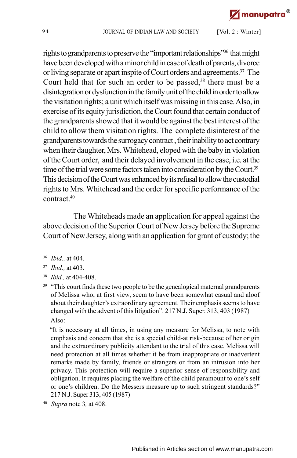rights to grandparents to preserve the "important relationships"<sup>36</sup> that might have been developed with a minor child in case of death of parents, divorce or living separate or apart inspite of Court orders and agreements.<sup>37</sup> The Court held that for such an order to be passed,<sup>38</sup> there must be a disintegration or dysfunction in the family unit of the child in order to allow the visitation rights; a unit which itself was missing in this case. Also, in exercise of its equity jurisdiction, the Court found that certain conduct of the grandparents showed that it would be against the best interest of the child to allow them visitation rights. The complete disinterest of the grandparents towards the surrogacy contract , their inability to act contrary when their daughter, Mrs. Whitehead, eloped with the baby in violation of the Court order, and their delayed involvement in the case, i.e. at the time of the trial were some factors taken into consideration by the Court.<sup>39</sup> This decision of the Court was enhanced by its refusal to allow the custodial rights to Mrs. Whitehead and the order for specific performance of the contract<sup>40</sup>

The Whiteheads made an application for appeal against the above decision of the Superior Court of New Jersey before the Supreme Court of New Jersey, along with an application for grant of custody; the

 "It is necessary at all times, in using any measure for Melissa, to note with emphasis and concern that she is a special child-at risk-because of her origin and the extraordinary publicity attendant to the trial of this case. Melissa will need protection at all times whether it be from inappropriate or inadvertent remarks made by family, friends or strangers or from an intrusion into her privacy. This protection will require a superior sense of responsibility and obligation. It requires placing the welfare of the child paramount to one's self or one's children. Do the Messers measure up to such stringent standards?" 217 N.J. Super 313, 405 (1987)

<sup>36</sup> *Ibid.,* at 404.

<sup>37</sup> *Ibid.,* at 403.

<sup>38</sup> *Ibid.,* at 404-408.

<sup>&</sup>lt;sup>39</sup> "This court finds these two people to be the genealogical maternal grandparents of Melissa who, at first view, seem to have been somewhat casual and aloof about their daughter's extraordinary agreement. Their emphasis seems to have changed with the advent of this litigation". 217 N.J. Super. 313, 403 (1987) Also:

<sup>40</sup> *Supra* note 3*,* at 408.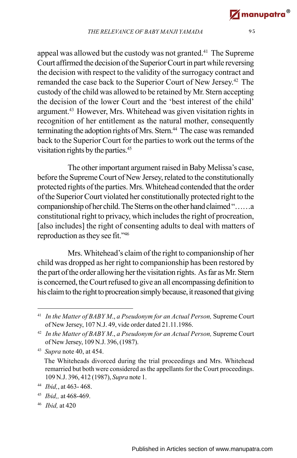appeal was allowed but the custody was not granted.<sup>41</sup> The Supreme Court affirmed the decision of the Superior Court in part while reversing the decision with respect to the validity of the surrogacy contract and remanded the case back to the Superior Court of New Jersey. <sup>42</sup> The custody of the child was allowed to be retained by Mr. Stern accepting the decision of the lower Court and the 'best interest of the child' argument.<sup>43</sup> However, Mrs. Whitehead was given visitation rights in recognition of her entitlement as the natural mother, consequently terminating the adoption rights of Mrs. Stern.<sup>44</sup> The case was remanded back to the Superior Court for the parties to work out the terms of the visitation rights by the parties.<sup>45</sup>

The other important argument raised in Baby Melissa's case, before the Supreme Court of New Jersey, related to the constitutionally protected rights of the parties. Mrs. Whitehead contended that the order of the Superior Court violated her constitutionally protected right to the companionship of her child. The Sterns on the other hand claimed "……a constitutional right to privacy, which includes the right of procreation, [also includes] the right of consenting adults to deal with matters of reproduction as they see fit."<sup>46</sup>

Mrs. Whitehead's claim of the right to companionship of her child was dropped as her right to companionship has been restored by the part of the order allowing her the visitation rights. As far as Mr. Stern is concerned, the Court refused to give an all encompassing definition to his claim to the right to procreation simply because, it reasoned that giving

43 *Supra* note 40, at 454.

46 *Ibid,* at 420

<sup>41</sup> *In the Matter of BABY M*., *a Pseudonym for an Actual Person,*Supreme Court of New Jersey, 107 N.J. 49, vide order dated 21.11.1986.

<sup>42</sup> *In the Matter of BABY M*., *a Pseudonym for an Actual Person,* Supreme Court of New Jersey, 109 N.J. 396, (1987).

The Whiteheads divorced during the trial proceedings and Mrs. Whitehead remarried but both were considered as the appellants for the Court proceedings. 109 N.J. 396, 412 (1987), *Supra* note 1.

<sup>44</sup> *Ibid,*, at 463- 468.

<sup>45</sup> *Ibid,,* at 468-469.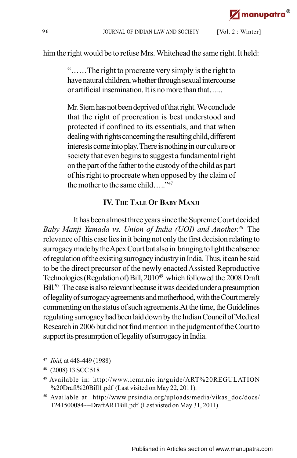him the right would be to refuse Mrs. Whitehead the same right. It held:

"……The right to procreate very simply is the right to have natural children, whether through sexual intercourse or artificial insemination. It is no more than that…...

Mr. Stern has not been deprived of that right. We conclude that the right of procreation is best understood and protected if confined to its essentials, and that when dealing with rights concerning the resulting child, different interests come into play. There is nothing in our culture or society that even begins to suggest a fundamental right on the part of the father to the custody of the child as part of his right to procreate when opposed by the claim of the mother to the same child  $\frac{1}{47}$ 

#### **IV. THE TALE OF BABY MANJI**

It has been almost three years since the Supreme Court decided *Baby Manji Yamada vs. Union of India (UOI) and Another. <sup>48</sup>* The relevance of this case lies in it being not only the first decision relating to surrogacy made by the Apex Court but also in bringing to light the absence of regulation of the existing surrogacy industry in India. Thus, it can be said to be the direct precursor of the newly enacted Assisted Reproductive Technologies (Regulation of) Bill, 2010<sup>49</sup> which followed the 2008 Draft Bill.<sup>50</sup> The case is also relevant because it was decided under a presumption of legality of surrogacy agreements and motherhood, with the Court merely commenting on the status of such agreements.At the time, the Guidelines regulating surrogacy had been laid down by the Indian Council of Medical Research in 2006 but did not find mention in the judgment of the Court to support its presumption of legality of surrogacy in India.

<sup>47</sup> *Ibid,* at 448-449 (1988)

<sup>48</sup> (2008) 13 SCC 518

<sup>49</sup> Available in: http://www.icmr.nic.in/guide/ART%20REGULATION %20Draft%20Bill1.pdf (Last visited on May 22, 2011).

<sup>50</sup> Available at http://www.prsindia.org/uploads/media/vikas\_doc/docs/ 1241500084~~DraftARTBill.pdf (Last visted on May 31, 2011)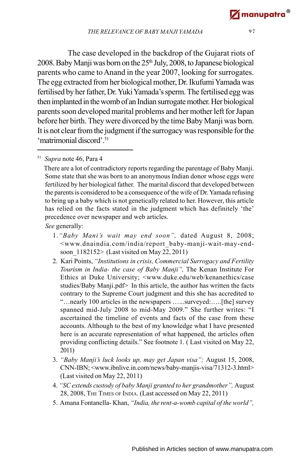The case developed in the backdrop of the Gujarat riots of 2008. Baby Manji was born on the 25th July, 2008, to Japanese biological parents who came to Anand in the year 2007, looking for surrogates. The egg extracted from her biological mother, Dr. Ikufumi Yamada was fertilised by her father, Dr. Yuki Yamada's sperm. The fertilised egg was then implanted in the womb of an Indian surrogate mother. Her biological parents soon developed marital problems and her mother left for Japan before her birth. They were divorced by the time Baby Manji was born. It is not clear from the judgment if the surrogacy was responsible for the 'matrimonial discord'.<sup>51</sup>

51 *Supra* note 46, Para 4

 There are a lot of contradictory reports regarding the parentage of Baby Manji. Some state that she was born to an anonymous Indian donor whose eggs were fertilized by her biological father. The marital discord that developed between the parents is considered to be a consequence of the wife of Dr. Yamada refusing to bring up a baby which is not genetically related to her. However, this article has relied on the facts stated in the judgment which has definitely 'the' precedence over newspaper and web articles.

 *See* generally:

- 1.*"Baby Mani's wait may end soon",* dated August 8, 2008; <www.dnaindia.com/india/report\_baby-manji-wait-may-endsoon\_1182152> (Last visited on May 22, 2011)
- 2. Kari Points, *"Institutions in crisis, Commercial Surrogacy and Fertility Tourism in India- the case of Baby Manji",* The Kenan Institute For Ethics at Duke University; <www.duke.edu/web/kenanethics/case studies/Baby Manji.pdf> In this article, the author has written the facts contrary to the Supreme Court judgment and this she has accredited to "…nearly 100 articles in the newspapers …...surveyed:…..[the] survey spanned mid-July 2008 to mid-May 2009." She further writes: "I ascertained the timeline of events and facts of the case from these accounts. Although to the best of my knowledge what I have presented here is an accurate representation of what happened, the articles often providing conflicting details." See footnote 1. ( Last visited on May 22, 2011)
- 3. *"Baby Manji's luck looks up, may get Japan visa";* August 15, 2008, CNN-IBN; <www.ibnlive.in.com/news/baby-manjis-visa/71312-3.html> (Last visited on May 22, 2011)
- 4. *"SC extends custody of baby Manji granted to her grandmother",* August 28, 2008, THE TIMES OF INDIA. (Last accessed on May 22, 2011)
- 5. Amana Fontanella- Khan, *"India, the rent-a-womb capital of the world",*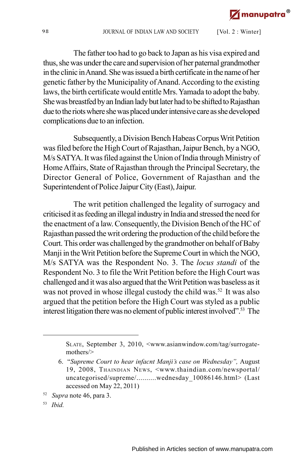The father too had to go back to Japan as his visa expired and thus, she was under the care and supervision of her paternal grandmother in the clinic in Anand. She was issued a birth certificate in the name of her genetic father by the Municipality of Anand. According to the existing laws, the birth certificate would entitle Mrs. Yamada to adopt the baby. She was breastfed by an Indian lady but later had to be shifted to Rajasthan due to the riots where she was placed under intensive care as she developed complications due to an infection.

Subsequently, a Division Bench Habeas Corpus Writ Petition was filed before the High Court of Rajasthan, Jaipur Bench, by a NGO, M/s SATYA. It was filed against the Union of India through Ministry of Home Affairs, State of Rajasthan through the Principal Secretary, the Director General of Police, Government of Rajasthan and the Superintendent of Police Jaipur City (East), Jaipur.

The writ petition challenged the legality of surrogacy and criticised it as feeding an illegal industry in India and stressed the need for the enactment of a law. Consequently, the Division Bench of the HC of Rajasthan passed the writ ordering the production of the child before the Court. This order was challenged by the grandmother on behalf of Baby Manji in the Writ Petition before the Supreme Court in which the NGO, M/s SATYA was the Respondent No. 3. The *locus standi* of the Respondent No. 3 to file the Writ Petition before the High Court was challenged and it was also argued that the Writ Petition was baseless as it was not proved in whose illegal custody the child was.<sup>52</sup> It was also argued that the petition before the High Court was styled as a public interest litigation there was no element of public interest involved".<sup>53</sup> The

- 52 *Supra* note 46, para 3.
- 53 *Ibid.*

SLATE, September 3, 2010, <www.asianwindow.com/tag/surrogatemothers/>

<sup>6. &</sup>quot;*Supreme Court to hear infacnt Manji's case on Wednesday",* August 19, 2008, THAINDIAN NEWS, <www.thaindian.com/newsportal/ uncategorised/supreme/.........wednesday 10086146.html> (Last accessed on May 22, 2011)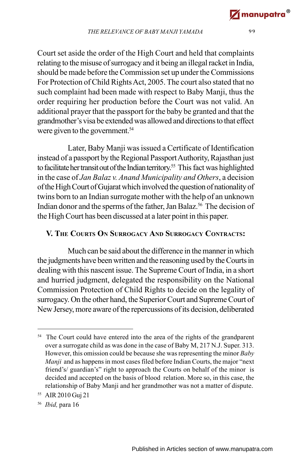Court set aside the order of the High Court and held that complaints relating to the misuse of surrogacy and it being an illegal racket in India, should be made before the Commission set up under the Commissions For Protection of Child Rights Act, 2005. The court also stated that no such complaint had been made with respect to Baby Manji, thus the order requiring her production before the Court was not valid. An additional prayer that the passport for the baby be granted and that the grandmother's visa be extended was allowed and directions to that effect were given to the government.<sup>54</sup>

Later, Baby Manji was issued a Certificate of Identification instead of a passport by the Regional Passport Authority, Rajasthan just to facilitate her transit out of the Indian territory. <sup>55</sup> This fact was highlighted in the case of *Jan Balaz v. Anand Municipality and Others*, a decision of the High Court of Gujarat which involved the question of nationality of twins born to an Indian surrogate mother with the help of an unknown Indian donor and the sperms of the father, Jan Balaz.<sup>56</sup> The decision of the High Court has been discussed at a later point in this paper.

## **V. THE COURTS ON SURROGACY AND SURROGACY CONTRACTS:**

Much can be said about the difference in the manner in which the judgments have been written and the reasoning used by the Courts in dealing with this nascent issue. The Supreme Court of India, in a short and hurried judgment, delegated the responsibility on the National Commission Protection of Child Rights to decide on the legality of surrogacy. On the other hand, the Superior Court and Supreme Court of New Jersey, more aware of the repercussions of its decision, deliberated

<sup>&</sup>lt;sup>54</sup> The Court could have entered into the area of the rights of the grandparent over a surrogate child as was done in the case of Baby M, 217 N.J. Super. 313. However, this omission could be because she was representing the minor *Baby Manji* and as happens in most cases filed before Indian Courts, the major "next friend's/ guardian's" right to approach the Courts on behalf of the minor is decided and accepted on the basis of blood relation. More so, in this case, the relationship of Baby Manji and her grandmother was not a matter of dispute.

<sup>55</sup> AIR 2010 Guj 21

<sup>56</sup> *Ibid,* para 16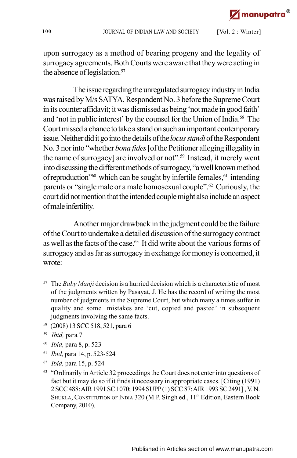upon surrogacy as a method of bearing progeny and the legality of surrogacy agreements. Both Courts were aware that they were acting in the absence of legislation.<sup>57</sup>

The issue regarding the unregulated surrogacy industry in India was raised by M/s SATYA, Respondent No. 3 before the Supreme Court in its counter affidavit; it was dismissed as being 'not made in good faith' and 'not in public interest' by the counsel for the Union of India.<sup>58</sup> The Court missed a chance to take a stand on such an important contemporary issue. Neither did it go into the details of the *locus standi* of the Respondent No. 3 nor into "whether *bona fides* [of the Petitioner alleging illegality in the name of surrogacy] are involved or not".<sup>59</sup> Instead, it merely went into discussing the different methods of surrogacy, "a well known method of reproduction"<sup>60</sup> which can be sought by infertile females,  $61$  intending parents or "single male or a male homosexual couple".<sup>62</sup> Curiously, the court did not mention that the intended couple might also include an aspect of male infertility.

Another major drawback in the judgment could be the failure of the Court to undertake a detailed discussion of the surrogacy contract as well as the facts of the case.<sup>63</sup> It did write about the various forms of surrogacy and as far as surrogacy in exchange for money is concerned, it wrote:

<sup>58</sup> (2008) 13 SCC 518, 521, para 6

- 60 *Ibid,* para 8, p. 523
- 61 *Ibid,* para 14, p. 523-524
- 62 *Ibid,* para 15, p. 524

<sup>57</sup> The *Baby Manji* decision is a hurried decision which is a characteristic of most of the judgments written by Pasayat, J. He has the record of writing the most number of judgments in the Supreme Court, but which many a times suffer in quality and some mistakes are 'cut, copied and pasted' in subsequent judgments involving the same facts.

<sup>59</sup> *Ibid,* para 7

<sup>&</sup>lt;sup>63</sup> "Ordinarily in Article 32 proceedings the Court does not enter into questions of fact but it may do so if it finds it necessary in appropriate cases. [Citing (1991) 2 SCC 488: AIR 1991 SC 1070; 1994 SUPP (1) SCC 87: AIR 1993 SC 2491] , V. N. SHUKLA, CONSTITUTION OF INDIA 320 (M.P. Singh ed., 11<sup>th</sup> Edition, Eastern Book Company, 2010).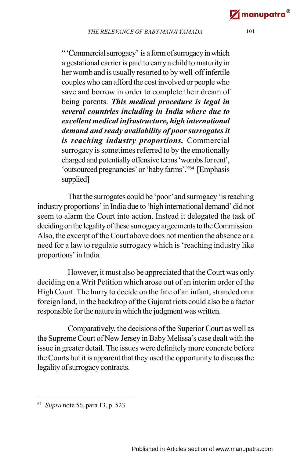" 'Commercial surrogacy' is a form of surrogacy in which a gestational carrier is paid to carry a child to maturity in her womb and is usually resorted to by well-off infertile couples who can afford the cost involved or people who save and borrow in order to complete their dream of being parents. *This medical procedure is legal in several countries including in India where due to excellent medical infrastructure, high international demand and ready availability of poor surrogates it is reaching industry proportions.* Commercial surrogacy is sometimes referred to by the emotionally charged and potentially offensive terms 'wombs for rent', 'outsourced pregnancies' or 'baby farms'."<sup>64</sup> [Emphasis supplied]

That the surrogates could be 'poor' and surrogacy 'is reaching industry proportions' in India due to 'high international demand' did not seem to alarm the Court into action. Instead it delegated the task of deciding on the legality of these surrogacy argeements to the Commission. Also, the excerpt of the Court above does not mention the absence or a need for a law to regulate surrogacy which is 'reaching industry like proportions' in India.

However, it must also be appreciated that the Court was only deciding on a Writ Petition which arose out of an interim order of the High Court. The hurry to decide on the fate of an infant, stranded on a foreign land, in the backdrop of the Gujarat riots could also be a factor responsible for the nature in which the judgment was written.

Comparatively, the decisions of the Superior Court as well as the Supreme Court of New Jersey in Baby Melissa's case dealt with the issue in greater detail. The issues were definitely more concrete before the Courts but it is apparent that they used the opportunity to discuss the legality of surrogacy contracts.

<sup>64</sup> *Supra* note 56, para 13, p. 523.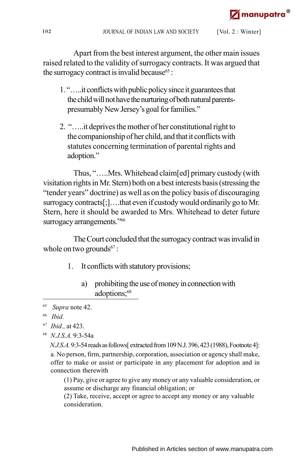Apart from the best interest argument, the other main issues raised related to the validity of surrogacy contracts. It was argued that the surrogacy contract is invalid because  $65$ :

- 1. "…..it conflicts with public policy since it guarantees that the child will not have the nurturing of both natural parentspresumably New Jersey's goal for families."
- 2. "…..it deprives the mother of her constitutional right to the companionship of her child, and that it conflicts with statutes concerning termination of parental rights and adoption."

Thus, "…..Mrs. Whitehead claim[ed] primary custody (with visitation rights in Mr. Stern) both on a best interests basis (stressing the "tender years" doctrine) as well as on the policy basis of discouraging surrogacy contracts[;]....that even if custody would ordinarily go to Mr. Stern, here it should be awarded to Mrs. Whitehead to deter future surrogacy arrangements."<sup>66</sup>

The Court concluded that the surrogacy contract was invalid in whole on two grounds $67$ :

- 1. It conflicts with statutory provisions;
	- a) prohibiting the use of money in connection with adoptions;<sup>68</sup>

68 *N.J.S.A.* 9:3-54a

*N.J.S.A.* 9:3-54 reads as follows[ extracted from 109 N.J. 396, 423 (1988), Footnote 4]: a. No person, firm, partnership, corporation, association or agency shall make, offer to make or assist or participate in any placement for adoption and in connection therewith

(1) Pay, give or agree to give any money or any valuable consideration, or assume or discharge any financial obligation; or

(2) Take, receive, accept or agree to accept any money or any valuable consideration.

<sup>65</sup> *Supra* note 42.

<sup>66</sup> *Ibid.*

<sup>67</sup> *Ibid.,* at 423.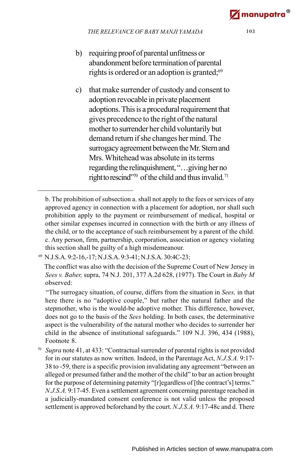- b) requiring proof of parental unfitness or abandonment before termination of parental rights is ordered or an adoption is granted;<sup>69</sup>
- c) that make surrender of custody and consent to adoption revocable in private placement adoptions. This is a procedural requirement that gives precedence to the right of the natural mother to surrender her child voluntarily but demand return if she changes her mind. The surrogacy agreement between the Mr. Stern and Mrs. Whitehead was absolute in its terms regarding the relinquishment, "…giving her no right to rescind"70 of the child and thus invalid.<sup>71</sup>

<sup>70</sup> *Supra* note 41, at 433: "Contractual surrender of parental rights is not provided for in our statutes as now written. Indeed, in the Parentage Act, *N.J.S.A.* 9:17- 38 to -59, there is a specific provision invalidating any agreement "between an alleged or presumed father and the mother of the child" to bar an action brought for the purpose of determining paternity "[r]egardless of [the contract's] terms." *N.J.S.A.* 9:17-45. Even a settlement agreement concerning parentage reached in a judicially-mandated consent conference is not valid unless the proposed settlement is approved beforehand by the court. *N.J.S.A.* 9:17-48c and d. There

b. The prohibition of subsection a. shall not apply to the fees or services of any approved agency in connection with a placement for adoption, nor shall such prohibition apply to the payment or reimbursement of medical, hospital or other similar expenses incurred in connection with the birth or any illness of the child, or to the acceptance of such reimbursement by a parent of the child. c. Any person, firm, partnership, corporation, association or agency violating this section shall be guilty of a high misdemeanour.

<sup>69</sup> N.J.S.A. 9:2-16,-17; N.J.S.A. 9:3-41; N.J.S.A. 30:4C-23;

The conflict was also with the decision of the Supreme Court of New Jersey in *Sees v. Baber,* supra, 74 N.J. 201, 377 A.2d 628, (1977). The Court in *Baby M* observed:

 <sup>&</sup>quot;The surrogacy situation, of course, differs from the situation in *Sees,* in that here there is no "adoptive couple," but rather the natural father and the stepmother, who is the would-be adoptive mother. This difference, however, does not go to the basis of the *Sees* holding. In both cases, the determinative aspect is the vulnerability of the natural mother who decides to surrender her child in the absence of institutional safeguards." 109 N.J. 396, 434 (1988), Footnote 8.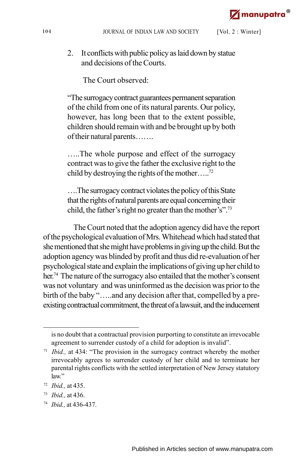2. It conflicts with public policy as laid down by statue and decisions of the Courts.

The Court observed:

"The surrogacy contract guarantees permanent separation of the child from one of its natural parents. Our policy, however, has long been that to the extent possible, children should remain with and be brought up by both of their natural parents…….

…..The whole purpose and effect of the surrogacy contract was to give the father the exclusive right to the child by destroying the rights of the mother.....<sup>72</sup>

….The surrogacy contract violates the policy of this State that the rights of natural parents are equal concerning their child, the father's right no greater than the mother's".<sup>73</sup>

The Court noted that the adoption agency did have the report of the psychological evaluation of Mrs. Whitehead which had stated that she mentioned that she might have problems in giving up the child. But the adoption agency was blinded by profit and thus did re-evaluation of her psychological state and explain the implications of giving up her child to her. <sup>74</sup> The nature of the surrogacy also entailed that the mother's consent was not voluntary and was uninformed as the decision was prior to the birth of the baby "…..and any decision after that, compelled by a preexisting contractual commitment, the threat of a lawsuit, and the inducement

is no doubt that a contractual provision purporting to constitute an irrevocable agreement to surrender custody of a child for adoption is invalid".

<sup>&</sup>lt;sup>71</sup> *Ibid.*, at 434: "The provision in the surrogacy contract whereby the mother irrevocably agrees to surrender custody of her child and to terminate her parental rights conflicts with the settled interpretation of New Jersey statutory law."

<sup>72</sup> *Ibid.,* at 435.

<sup>73</sup> *Ibid.,* at 436.

<sup>74</sup> *Ibid.,* at 436-437.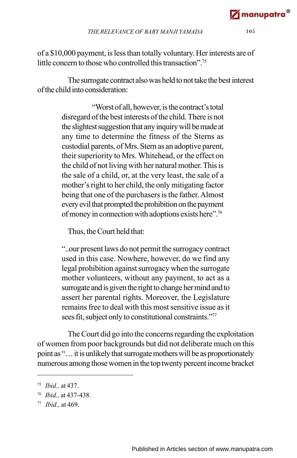of a \$10,000 payment, is less than totally voluntary. Her interests are of little concern to those who controlled this transaction".<sup>75</sup>

The surrogate contract also was held to not take the best interest of the child into consideration:

> "Worst of all, however, is the contract's total disregard of the best interests of the child. There is not the slightest suggestion that any inquiry will be made at any time to determine the fitness of the Sterns as custodial parents, of Mrs. Stern as an adoptive parent, their superiority to Mrs. Whitehead, or the effect on the child of not living with her natural mother. This is the sale of a child, or, at the very least, the sale of a mother's right to her child, the only mitigating factor being that one of the purchasers is the father. Almost every evil that prompted the prohibition on the payment of money in connection with adoptions exists here".<sup>76</sup>

Thus, the Court held that:

"..our present laws do not permit the surrogacy contract used in this case. Nowhere, however, do we find any legal prohibition against surrogacy when the surrogate mother volunteers, without any payment, to act as a surrogate and is given the right to change her mind and to assert her parental rights. Moreover, the Legislature remains free to deal with this most sensitive issue as it sees fit, subject only to constitutional constraints."<sup>77</sup>

The Court did go into the concerns regarding the exploitation of women from poor backgrounds but did not deliberate much on this point as "… it is unlikely that surrogate mothers will be as proportionately numerous among those women in the top twenty percent income bracket

<sup>75</sup> *Ibid.,* at 437.

<sup>76</sup> *Ibid.,* at 437-438.

<sup>77</sup> *Ibid.,* at 469.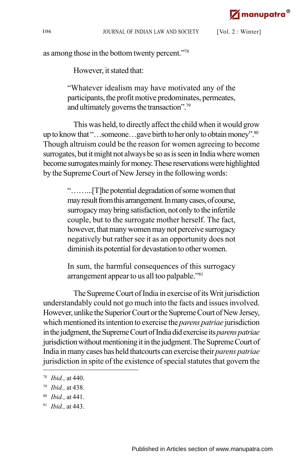as among those in the bottom twenty percent."<sup>78</sup>

However, it stated that:

"Whatever idealism may have motivated any of the participants, the profit motive predominates, permeates, and ultimately governs the transaction".<sup>79</sup>

This was held, to directly affect the child when it would grow up to know that "...someone...gave birth to her only to obtain money".<sup>80</sup> Though altruism could be the reason for women agreeing to become surrogates, but it might not always be so as is seen in India where women become surrogates mainly for money. These reservations were highlighted by the Supreme Court of New Jersey in the following words:

> "……...[T]he potential degradation of some women that may result from this arrangement. In many cases, of course, surrogacy may bring satisfaction, not only to the infertile couple, but to the surrogate mother herself. The fact, however, that many women may not perceive surrogacy negatively but rather see it as an opportunity does not diminish its potential for devastation to other women.

> In sum, the harmful consequences of this surrogacy arrangement appear to us all too palpable."<sup>81</sup>

The Supreme Court of India in exercise of its Writ jurisdiction understandably could not go much into the facts and issues involved. However, unlike the Superior Court or the Supreme Court of New Jersey, which mentioned its intention to exercise the *parens patriae* jurisdiction in the judgment, the Supreme Court of India did exercise its *parens patriae* jurisdiction without mentioning it in the judgment. The Supreme Court of India in many cases has held thatcourts can exercise their *parens patriae* jurisdiction in spite of the existence of special statutes that govern the

<sup>78</sup> *Ibid.,* at 440.

<sup>79</sup> *Ibid.,* at 438.

<sup>80</sup> *Ibid.,* at 441.

<sup>81</sup> *Ibid.,* at 443.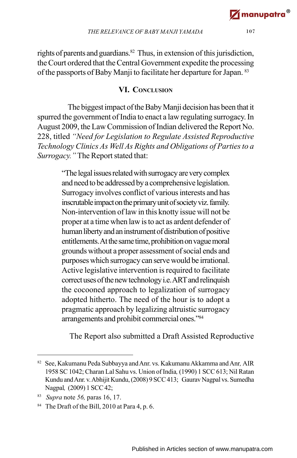rights of parents and guardians.<sup>82</sup> Thus, in extension of this jurisdiction, the Court ordered that the Central Government expedite the processing of the passports of Baby Manji to facilitate her departure for Japan. <sup>83</sup>

#### **VI. CONCLUSION**

The biggest impact of the Baby Manji decision has been that it spurred the government of India to enact a law regulating surrogacy. In August 2009, the Law Commission of Indian delivered the Report No. 228, titled *"Need for Legislation to Regulate Assisted Reproductive Technology Clinics As Well As Rights and Obligations of Parties to a Surrogacy."*The Report stated that:

> "The legal issues related with surrogacy are very complex and need to be addressed by a comprehensive legislation. Surrogacy involves conflict of various interests and has inscrutable impact on the primary unit of society viz. family. Non-intervention of law in this knotty issue will not be proper at a time when law is to act as ardent defender of human liberty and an instrument of distribution of positive entitlements. At the same time, prohibition on vague moral grounds without a proper assessment of social ends and purposes which surrogacy can serve would be irrational. Active legislative intervention is required to facilitate correct uses of the new technology i.e. ART and relinquish the cocooned approach to legalization of surrogacy adopted hitherto. The need of the hour is to adopt a pragmatic approach by legalizing altruistic surrogacy arrangements and prohibit commercial ones."<sup>84</sup>

The Report also submitted a Draft Assisted Reproductive

<sup>82</sup> See, Kakumanu Peda Subbayya and Anr. vs. Kakumanu Akkamma and Anr*,* AIR 1958 SC 1042; Charan Lal Sahu vs. Union of India*,* (1990) 1 SCC 613; Nil Ratan Kundu and Anr. v. Abhijit Kundu, (2008) 9 SCC 413; Gaurav Nagpal vs. Sumedha Nagpal*,* (2009) 1 SCC 42;

<sup>83</sup> *Supra* note *56,* paras 16, 17.

<sup>&</sup>lt;sup>84</sup> The Draft of the Bill, 2010 at Para 4, p. 6.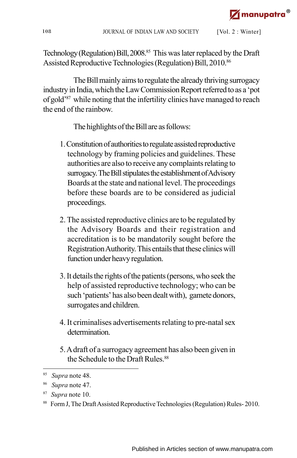Technology (Regulation) Bill, 2008.<sup>85</sup> This was later replaced by the Draft Assisted Reproductive Technologies (Regulation) Bill, 2010.<sup>86</sup>

The Bill mainly aims to regulate the already thriving surrogacy industry in India, which the Law Commission Report referred to as a 'pot of gold'<sup>87</sup> while noting that the infertility clinics have managed to reach the end of the rainbow.

The highlights of the Bill are as follows:

- 1. Constitution of authorities to regulate assisted reproductive technology by framing policies and guidelines. These authorities are also to receive any complaints relating to surrogacy. The Bill stipulates the establishment of Advisory Boards at the state and national level. The proceedings before these boards are to be considered as judicial proceedings.
- 2. The assisted reproductive clinics are to be regulated by the Advisory Boards and their registration and accreditation is to be mandatorily sought before the Registration Authority. This entails that these clinics will function under heavy regulation.
- 3. It details the rights of the patients (persons, who seek the help of assisted reproductive technology; who can be such 'patients' has also been dealt with), gamete donors, surrogates and children.
- 4. It criminalises advertisements relating to pre-natal sex determination.
- 5. A draft of a surrogacy agreement has also been given in the Schedule to the Draft Rules.<sup>88</sup>

<sup>85</sup> *Supra* note 48.

<sup>86</sup> *Supra* note 47.

<sup>87</sup> *Supra* note 10.

<sup>88</sup> Form J, The Draft Assisted Reproductive Technologies (Regulation) Rules- 2010.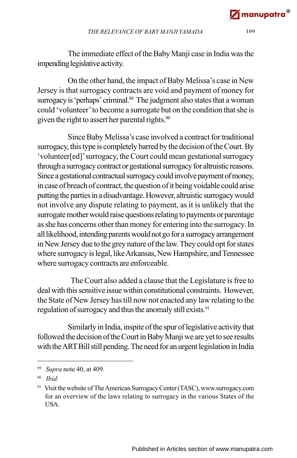The immediate effect of the Baby Manji case in India was the impending legislative activity.

On the other hand, the impact of Baby Melissa's case in New Jersey is that surrogacy contracts are void and payment of money for surrogacy is 'perhaps' criminal.<sup>89</sup> The judgment also states that a woman could 'volunteer' to become a surrogate but on the condition that she is given the right to assert her parental rights.<sup>90</sup>

Since Baby Melissa's case involved a contract for traditional surrogacy, this type is completely barred by the decision of the Court. By 'volunteer[ed]' surrogacy, the Court could mean gestational surrogacy through a surrogacy contract or gestational surrogacy for altruistic reasons. Since a gestational contractual surrogacy could involve payment of money, in case of breach of contract, the question of it being voidable could arise putting the parties in a disadvantage. However, altruistic surrogacy would not involve any dispute relating to payment, as it is unlikely that the surrogate mother would raise questions relating to payments or parentage as she has concerns other than money for entering into the surrogacy. In all likelihood, intending parents would not go for a surrogacy arrangement in New Jersey due to the grey nature of the law. They could opt for states where surrogacy is legal, like Arkansas, New Hampshire, and Tennessee where surrogacy contracts are enforceable.

 The Court also added a clause that the Legislature is free to deal with this sensitive issue within constitutional constraints. However, the State of New Jersey has till now not enacted any law relating to the regulation of surrogacy and thus the anomaly still exists.<sup>91</sup>

Similarly in India, inspite of the spur of legislative activity that followed the decision of the Court in Baby Manji we are yet to see results with the ART Bill still pending. The need for an urgent legislation in India

<sup>89</sup> *Supra* note 40, at 409.

<sup>90</sup> *Ibid.*

<sup>91</sup> Visit the website of The American Surrogacy Center (TASC), www.surrogacy.com for an overview of the laws relating to surrogacy in the various States of the USA.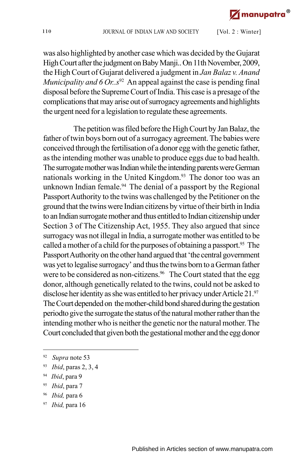was also highlighted by another case which was decided by the Gujarat High Court after the judgment on Baby Manji.. On 11th November, 2009, the High Court of Gujarat delivered a judgment in *Jan Balaz v. Anand Municipality and 6 Or.*. $s^{92}$  An appeal against the case is pending final disposal before the Supreme Court of India.This case is a presage of the complications that may arise out of surrogacy agreements and highlights the urgent need for a legislation to regulate these agreements.

The petition was filed before the High Court by Jan Balaz, the father of twin boys born out of a surrogacy agreement. The babies were conceived through the fertilisation of a donor egg with the genetic father, as the intending mother was unable to produce eggs due to bad health. The surrogate mother was Indian while the intending parents were German nationals working in the United Kingdom.<sup>93</sup> The donor too was an unknown Indian female.<sup>94</sup> The denial of a passport by the Regional Passport Authority to the twins was challenged by the Petitioner on the ground that the twins were Indian citizens by virtue of their birth in India to an Indian surrogate mother and thus entitled to Indian citizenship under Section 3 of The Citizenship Act, 1955. They also argued that since surrogacy was not illegal in India, a surrogate mother was entitled to be called a mother of a child for the purposes of obtaining a passport.<sup>95</sup> The Passport Authority on the other hand argued that 'the central government was yet to legalise surrogacy' and thus the twins born to a German father were to be considered as non-citizens.<sup>96</sup> The Court stated that the egg donor, although genetically related to the twins, could not be asked to disclose her identity as she was entitled to her privacy under Article 21.<sup>97</sup> The Court depended on the mother-child bond shared during the gestation periodto give the surrogate the status of the natural mother rather than the intending mother who is neither the genetic nor the natural mother. The Court concluded that given both the gestational mother and the egg donor

- 95 *Ibid*, para 7
- 96 *Ibid,* para 6
- 97 *Ibid,* para 16

<sup>92</sup> *Supra* note 53

<sup>93</sup> *Ibid*, paras 2, 3, 4

<sup>94</sup> *Ibid*, para 9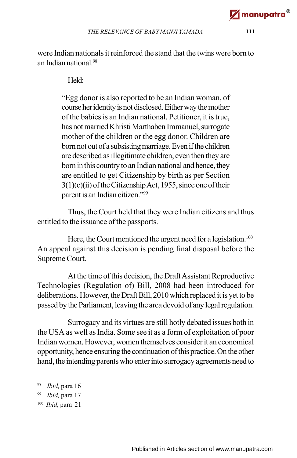were Indian nationals it reinforced the stand that the twins were born to an Indian national<sup>98</sup>

#### Held:

"Egg donor is also reported to be an Indian woman, of course her identity is not disclosed. Either way the mother of the babies is an Indian national. Petitioner, it is true, has not married Khristi Marthaben Immanuel, surrogate mother of the children or the egg donor. Children are born not out of a subsisting marriage. Even if the children are described as illegitimate children, even then they are born in this country to an Indian national and hence, they are entitled to get Citizenship by birth as per Section 3(1)(c)(ii) of the Citizenship Act, 1955, since one of their parent is an Indian citizen."<sup>99</sup>

Thus, the Court held that they were Indian citizens and thus entitled to the issuance of the passports.

Here, the Court mentioned the urgent need for a legislation.<sup>100</sup> An appeal against this decision is pending final disposal before the Supreme Court.

At the time of this decision, the Draft Assistant Reproductive Technologies (Regulation of) Bill, 2008 had been introduced for deliberations. However, the Draft Bill, 2010 which replaced it is yet to be passed by the Parliament, leaving the area devoid of any legal regulation.

Surrogacy and its virtues are still hotly debated issues both in the USA as well as India. Some see it as a form of exploitation of poor Indian women. However, women themselves consider it an economical opportunity, hence ensuring the continuation of this practice. On the other hand, the intending parents who enter into surrogacy agreements need to

<sup>98</sup> *Ibid,* para 16

<sup>99</sup> *Ibid,* para 17

<sup>100</sup> *Ibid,* para 21